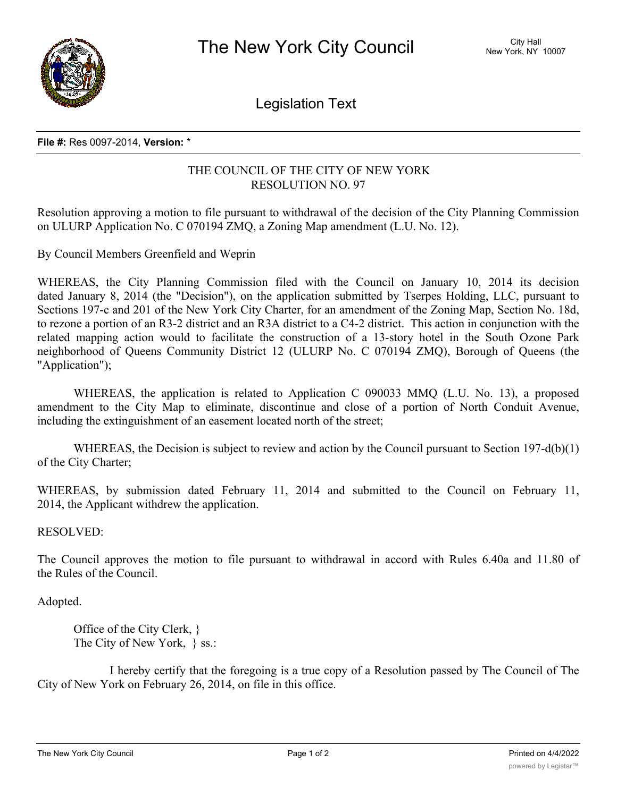

Legislation Text

## **File #:** Res 0097-2014, **Version:** \*

## THE COUNCIL OF THE CITY OF NEW YORK RESOLUTION NO. 97

Resolution approving a motion to file pursuant to withdrawal of the decision of the City Planning Commission on ULURP Application No. C 070194 ZMQ, a Zoning Map amendment (L.U. No. 12).

By Council Members Greenfield and Weprin

WHEREAS, the City Planning Commission filed with the Council on January 10, 2014 its decision dated January 8, 2014 (the "Decision"), on the application submitted by Tserpes Holding, LLC, pursuant to Sections 197-c and 201 of the New York City Charter, for an amendment of the Zoning Map, Section No. 18d, to rezone a portion of an R3-2 district and an R3A district to a C4-2 district. This action in conjunction with the related mapping action would to facilitate the construction of a 13-story hotel in the South Ozone Park neighborhood of Queens Community District 12 (ULURP No. C 070194 ZMQ), Borough of Queens (the "Application");

WHEREAS, the application is related to Application C 090033 MMQ (L.U. No. 13), a proposed amendment to the City Map to eliminate, discontinue and close of a portion of North Conduit Avenue, including the extinguishment of an easement located north of the street;

WHEREAS, the Decision is subject to review and action by the Council pursuant to Section 197-d(b)(1) of the City Charter;

WHEREAS, by submission dated February 11, 2014 and submitted to the Council on February 11, 2014, the Applicant withdrew the application.

RESOLVED:

The Council approves the motion to file pursuant to withdrawal in accord with Rules 6.40a and 11.80 of the Rules of the Council.

Adopted.

Office of the City Clerk, } The City of New York,  $\}$  ss.:

I hereby certify that the foregoing is a true copy of a Resolution passed by The Council of The City of New York on February 26, 2014, on file in this office.